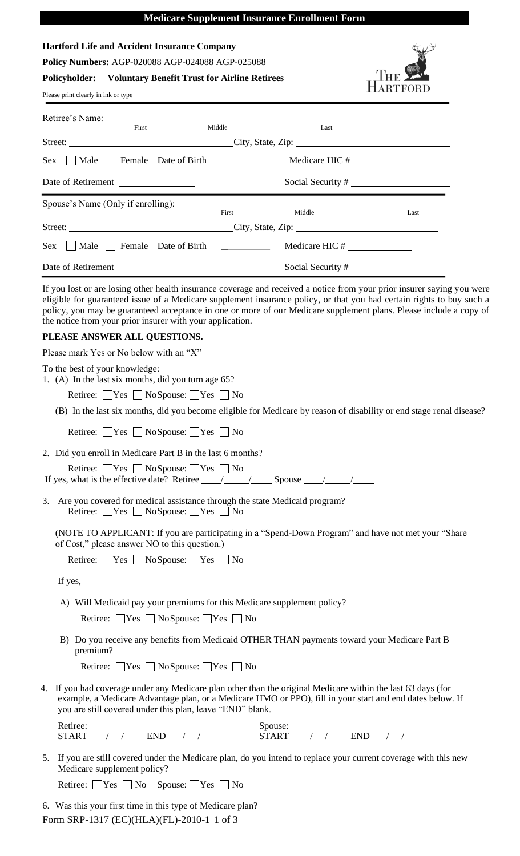## **Medicare Supplement Insurance Enrollment Form**

| <b>Hartford Life and Accident Insurance Company</b>                                                                                                                                                                                                                                                                                                                                                                                                                 |                |                      |  |  |  |  |
|---------------------------------------------------------------------------------------------------------------------------------------------------------------------------------------------------------------------------------------------------------------------------------------------------------------------------------------------------------------------------------------------------------------------------------------------------------------------|----------------|----------------------|--|--|--|--|
| Policy Numbers: AGP-020088 AGP-024088 AGP-025088                                                                                                                                                                                                                                                                                                                                                                                                                    |                |                      |  |  |  |  |
| <b>Policyholder:</b> Voluntary Benefit Trust for Airline Retirees                                                                                                                                                                                                                                                                                                                                                                                                   |                |                      |  |  |  |  |
| Please print clearly in ink or type                                                                                                                                                                                                                                                                                                                                                                                                                                 |                |                      |  |  |  |  |
| Retiree's Name: First Middle                                                                                                                                                                                                                                                                                                                                                                                                                                        | Last           |                      |  |  |  |  |
|                                                                                                                                                                                                                                                                                                                                                                                                                                                                     |                |                      |  |  |  |  |
|                                                                                                                                                                                                                                                                                                                                                                                                                                                                     |                |                      |  |  |  |  |
| Date of Retirement                                                                                                                                                                                                                                                                                                                                                                                                                                                  |                |                      |  |  |  |  |
| First                                                                                                                                                                                                                                                                                                                                                                                                                                                               | Middle         | Last                 |  |  |  |  |
|                                                                                                                                                                                                                                                                                                                                                                                                                                                                     |                |                      |  |  |  |  |
| Sex Male Female Date of Birth                                                                                                                                                                                                                                                                                                                                                                                                                                       | Medicare HIC # |                      |  |  |  |  |
| Date of Retirement                                                                                                                                                                                                                                                                                                                                                                                                                                                  |                | Social Security $\#$ |  |  |  |  |
| If you lost or are losing other health insurance coverage and received a notice from your prior insurer saying you were<br>eligible for guaranteed issue of a Medicare supplement insurance policy, or that you had certain rights to buy such a<br>policy, you may be guaranteed acceptance in one or more of our Medicare supplement plans. Please include a copy of<br>the notice from your prior insurer with your application.<br>PLEASE ANSWER ALL QUESTIONS. |                |                      |  |  |  |  |
| Please mark Yes or No below with an "X"                                                                                                                                                                                                                                                                                                                                                                                                                             |                |                      |  |  |  |  |
| To the best of your knowledge:<br>1. (A) In the last six months, did you turn age 65?                                                                                                                                                                                                                                                                                                                                                                               |                |                      |  |  |  |  |
| Retiree: $\Box$ Yes $\Box$ No Spouse: $\Box$ Yes $\Box$ No                                                                                                                                                                                                                                                                                                                                                                                                          |                |                      |  |  |  |  |
| (B) In the last six months, did you become eligible for Medicare by reason of disability or end stage renal disease?                                                                                                                                                                                                                                                                                                                                                |                |                      |  |  |  |  |
| Retiree: ■ Yes ■ NoSpouse: ■ Yes ■ No                                                                                                                                                                                                                                                                                                                                                                                                                               |                |                      |  |  |  |  |
| 2. Did you enroll in Medicare Part B in the last 6 months?                                                                                                                                                                                                                                                                                                                                                                                                          |                |                      |  |  |  |  |
| Retiree: $\Box$ Yes $\Box$ No Spouse: $\Box$ Yes $\Box$ No<br>If yes, what is the effective date? Retiree $\frac{\sqrt{2}}{2}$ Spouse $\frac{\sqrt{2}}{2}$                                                                                                                                                                                                                                                                                                          |                |                      |  |  |  |  |
| 3. Are you covered for medical assistance through the state Medicaid program?<br>Retiree: $\Box$ Yes $\Box$ No Spouse: $\Box$ Yes $\Box$ No                                                                                                                                                                                                                                                                                                                         |                |                      |  |  |  |  |
| (NOTE TO APPLICANT: If you are participating in a "Spend-Down Program" and have not met your "Share")<br>of Cost," please answer NO to this question.)                                                                                                                                                                                                                                                                                                              |                |                      |  |  |  |  |
| Retiree: □Yes □ NoSpouse: □Yes □ No                                                                                                                                                                                                                                                                                                                                                                                                                                 |                |                      |  |  |  |  |
| If yes,                                                                                                                                                                                                                                                                                                                                                                                                                                                             |                |                      |  |  |  |  |
| A) Will Medicaid pay your premiums for this Medicare supplement policy?                                                                                                                                                                                                                                                                                                                                                                                             |                |                      |  |  |  |  |
| Retiree: $\Box$ Yes $\Box$ No Spouse: $\Box$ Yes $\Box$ No                                                                                                                                                                                                                                                                                                                                                                                                          |                |                      |  |  |  |  |
| B) Do you receive any benefits from Medicaid OTHER THAN payments toward your Medicare Part B<br>premium?                                                                                                                                                                                                                                                                                                                                                            |                |                      |  |  |  |  |
| Retiree: $\Box$ Yes $\Box$ No Spouse: $\Box$ Yes $\Box$ No                                                                                                                                                                                                                                                                                                                                                                                                          |                |                      |  |  |  |  |
| 4. If you had coverage under any Medicare plan other than the original Medicare within the last 63 days (for<br>example, a Medicare Advantage plan, or a Medicare HMO or PPO), fill in your start and end dates below. If<br>you are still covered under this plan, leave "END" blank.                                                                                                                                                                              |                |                      |  |  |  |  |
| Retiree:<br>START $\angle$ $\angle$ END $\angle$ $\angle$ START $\angle$ END $\angle$ $\angle$                                                                                                                                                                                                                                                                                                                                                                      | Spouse:        |                      |  |  |  |  |
| 5. If you are still covered under the Medicare plan, do you intend to replace your current coverage with this new<br>Medicare supplement policy?                                                                                                                                                                                                                                                                                                                    |                |                      |  |  |  |  |
| Retiree: $\Box$ Yes $\Box$ No Spouse: $\Box$ Yes $\Box$ No                                                                                                                                                                                                                                                                                                                                                                                                          |                |                      |  |  |  |  |
| 6. Was this your first time in this type of Medicare plan?<br>Form SRP-1317 (EC)(HLA)(FL)-2010-1 1 of 3                                                                                                                                                                                                                                                                                                                                                             |                |                      |  |  |  |  |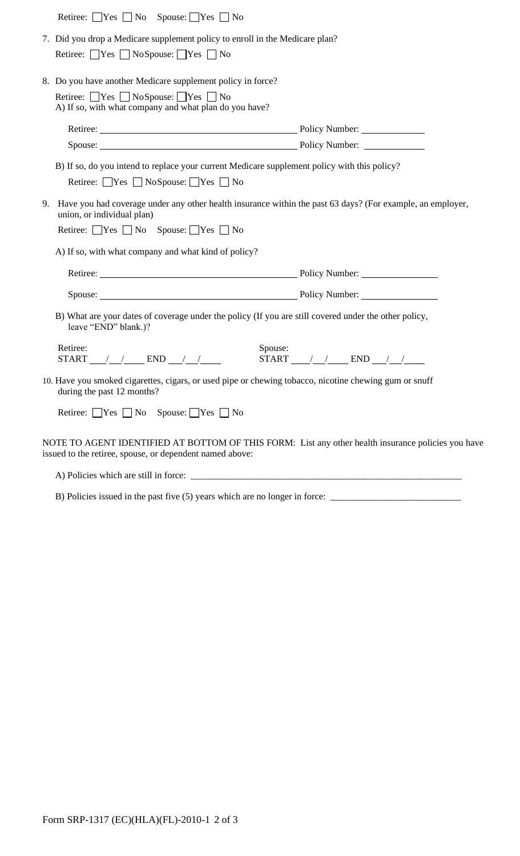|    | Retiree: $\Box$ Yes $\Box$ No Spouse: $\Box$ Yes $\Box$ No                                                                                                                                                                     |                                                                                              |  |  |
|----|--------------------------------------------------------------------------------------------------------------------------------------------------------------------------------------------------------------------------------|----------------------------------------------------------------------------------------------|--|--|
|    | 7. Did you drop a Medicare supplement policy to enroll in the Medicare plan?<br>Retiree: $\Box$ Yes $\Box$ No Spouse: $\Box$ Yes $\Box$ No                                                                                     |                                                                                              |  |  |
|    | 8. Do you have another Medicare supplement policy in force?                                                                                                                                                                    |                                                                                              |  |  |
|    | Retiree: $\Box$ Yes $\Box$ No Spouse: $\Box$ Yes $\Box$ No<br>A) If so, with what company and what plan do you have?                                                                                                           |                                                                                              |  |  |
|    | Retiree: Policy Number:                                                                                                                                                                                                        |                                                                                              |  |  |
|    | Spouse: Policy Number: 2008. [2016] Policy Number: 2016. [2016] Policy Number: 2016. [2016] Policy Number: 2016. [2016] Policy Number: 2016. [2016] Policy Number: 2016. [2016] Policy Number: 2016. [2016] Policy Number: 201 |                                                                                              |  |  |
|    | Retiree: $\Box$ Yes $\Box$ No Spouse: $\Box$ Yes $\Box$ No                                                                                                                                                                     | B) If so, do you intend to replace your current Medicare supplement policy with this policy? |  |  |
| 9. | Have you had coverage under any other health insurance within the past 63 days? (For example, an employer,<br>union, or individual plan)                                                                                       |                                                                                              |  |  |
|    | Retiree: $\Box$ Yes $\Box$ No Spouse: $\Box$ Yes $\Box$ No                                                                                                                                                                     |                                                                                              |  |  |
|    | A) If so, with what company and what kind of policy?                                                                                                                                                                           |                                                                                              |  |  |
|    | Retiree: Policy Number:                                                                                                                                                                                                        |                                                                                              |  |  |
|    | Spouse: Policy Number:                                                                                                                                                                                                         |                                                                                              |  |  |
|    | B) What are your dates of coverage under the policy (If you are still covered under the other policy,<br>leave "END" blank.)?                                                                                                  |                                                                                              |  |  |
|    | Retiree:<br>Spouse:<br>START $\angle$ $\angle$ END $\angle$ $\angle$ $\angle$ START $\angle$ END $\angle$ $\angle$                                                                                                             |                                                                                              |  |  |
|    | 10. Have you smoked cigarettes, cigars, or used pipe or chewing tobacco, nicotine chewing gum or snuff<br>during the past 12 months?                                                                                           |                                                                                              |  |  |
|    | Retiree: $\Box$ Yes $\Box$ No Spouse: $\Box$ Yes $\Box$ No                                                                                                                                                                     |                                                                                              |  |  |
|    | NOTE TO AGENT IDENTIFIED AT BOTTOM OF THIS FORM: List any other health insurance policies you have<br>issued to the retiree, spouse, or dependent named above:                                                                 |                                                                                              |  |  |
|    |                                                                                                                                                                                                                                |                                                                                              |  |  |

B) Policies issued in the past five (5) years which are no longer in force: \_\_\_\_\_\_\_\_\_\_\_\_\_\_\_\_\_\_\_\_\_\_\_\_\_\_\_\_